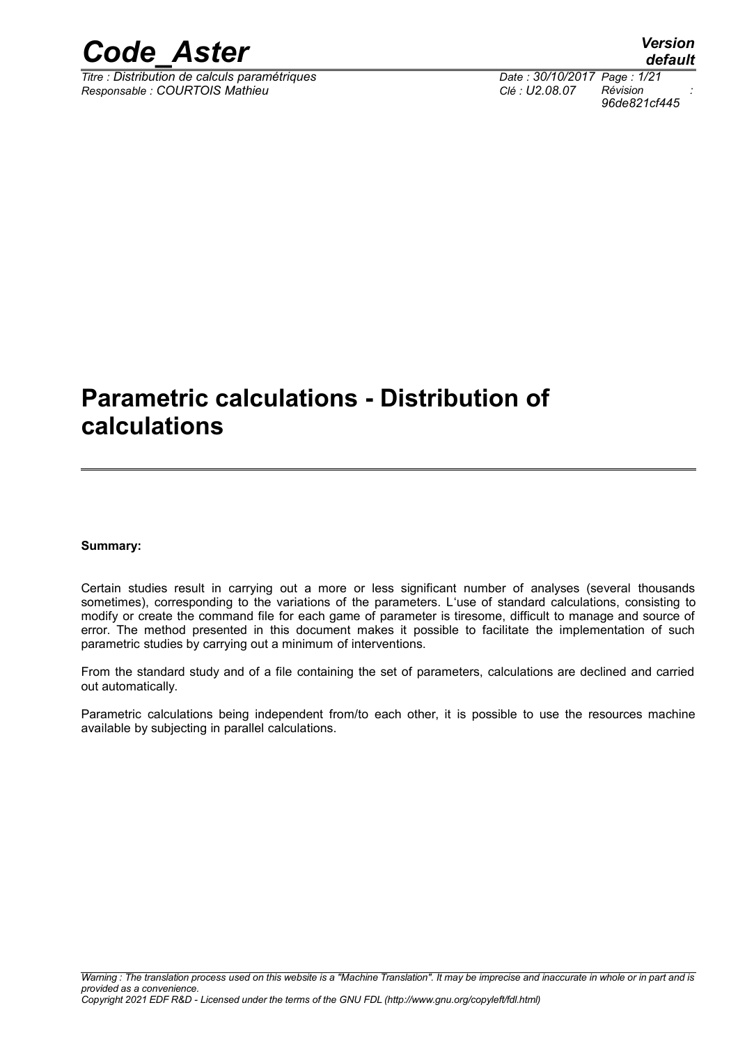

*Titre : Distribution de calculs paramétriques Date : 30/10/2017 Page : 1/21 Responsable : COURTOIS Mathieu Clé : U2.08.07 Révision :*

*default 96de821cf445*

## **Parametric calculations - Distribution of calculations**

#### **Summary:**

Certain studies result in carrying out a more or less significant number of analyses (several thousands sometimes), corresponding to the variations of the parameters. L'use of standard calculations, consisting to modify or create the command file for each game of parameter is tiresome, difficult to manage and source of error. The method presented in this document makes it possible to facilitate the implementation of such parametric studies by carrying out a minimum of interventions.

From the standard study and of a file containing the set of parameters, calculations are declined and carried out automatically.

Parametric calculations being independent from/to each other, it is possible to use the resources machine available by subjecting in parallel calculations.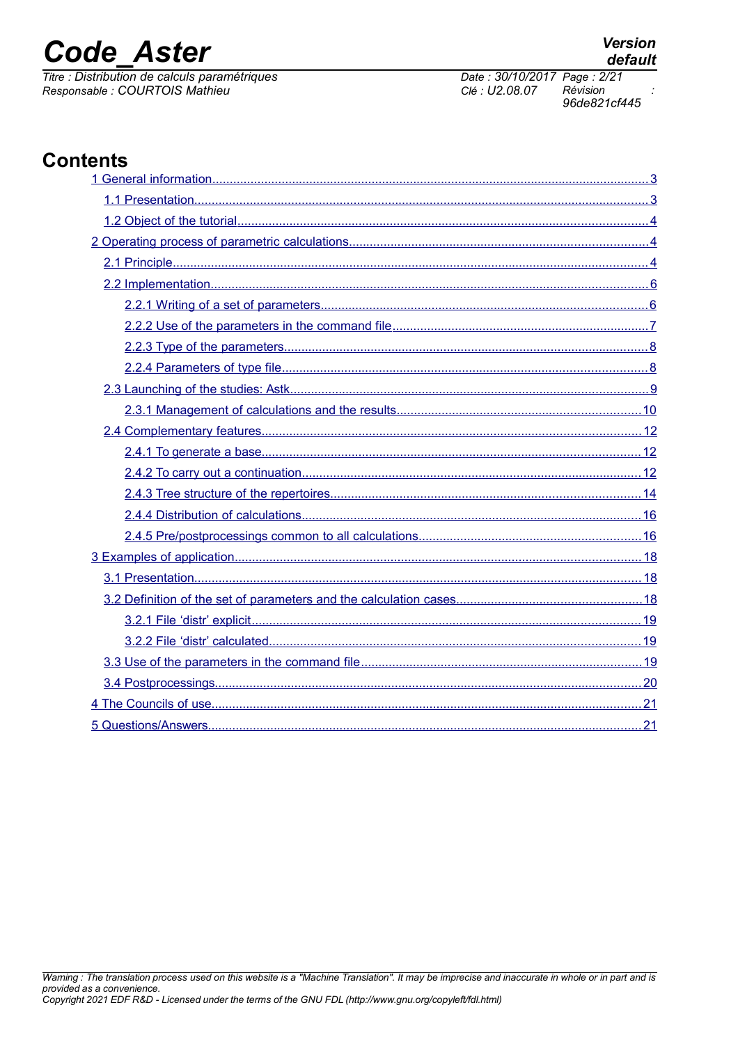# **Code Aster**

Titre : Distribution de calculs paramétriques Responsable : COURTOIS Mathieu

## **Contents**

Clé : U2.08.07

**Version** default Date: 30/10/2017 Page: 2/21

> Révision 96de821cf445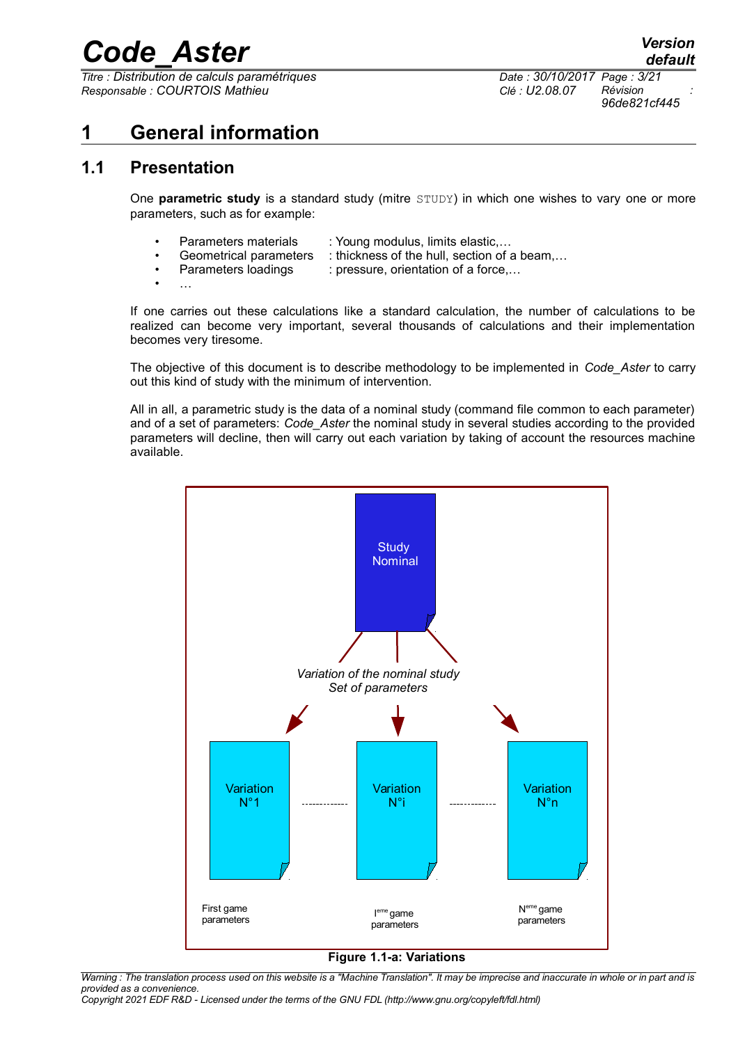*Titre : Distribution de calculs paramétriques Date : 30/10/2017 Page : 3/21 Responsable : COURTOIS Mathieu Clé : U2.08.07 Révision :*

*default 96de821cf445*

## <span id="page-2-1"></span>**1 General information**

### **1.1 Presentation**

<span id="page-2-0"></span>One **parametric study** is a standard study (mitre STUDY) in which one wishes to vary one or more parameters, such as for example:

- Parameters materials : Young modulus, limits elastic,...
	- Geometrical parameters : thickness of the hull, section of a beam,...
	- Parameters loadings : pressure, orientation of a force,...
- …

If one carries out these calculations like a standard calculation, the number of calculations to be realized can become very important, several thousands of calculations and their implementation becomes very tiresome.

The objective of this document is to describe methodology to be implemented in *Code\_Aster* to carry out this kind of study with the minimum of intervention.

All in all, a parametric study is the data of a nominal study (command file common to each parameter) and of a set of parameters: *Code\_Aster* the nominal study in several studies according to the provided parameters will decline, then will carry out each variation by taking of account the resources machine available.



#### **Figure 1.1-а: Variations**

*Warning : The translation process used on this website is a "Machine Translation". It may be imprecise and inaccurate in whole or in part and is provided as a convenience.*

*Copyright 2021 EDF R&D - Licensed under the terms of the GNU FDL (http://www.gnu.org/copyleft/fdl.html)*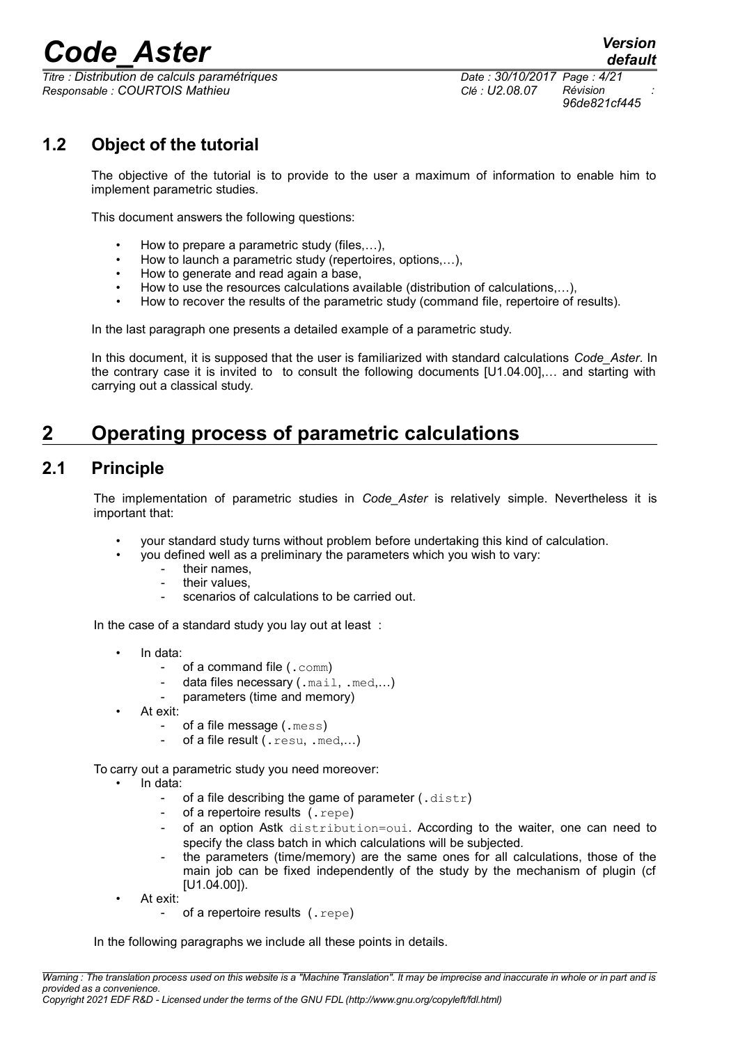*Titre : Distribution de calculs paramétriques Date : 30/10/2017 Page : 4/21 Responsable : COURTOIS Mathieu Clé : U2.08.07 Révision :*

### **1.2 Object of the tutorial**

<span id="page-3-2"></span>The objective of the tutorial is to provide to the user a maximum of information to enable him to implement parametric studies.

This document answers the following questions:

- How to prepare a parametric study (files,…),
- How to launch a parametric study (repertoires, options,…),
- How to generate and read again a base,
- How to use the resources calculations available (distribution of calculations,…),
- How to recover the results of the parametric study (command file, repertoire of results).

In the last paragraph one presents a detailed example of a parametric study.

In this document, it is supposed that the user is familiarized with standard calculations *Code\_Aster*. In the contrary case it is invited to to consult the following documents [U1.04.00],… and starting with carrying out a classical study.

## <span id="page-3-1"></span>**2 Operating process of parametric calculations**

### **2.1 Principle**

<span id="page-3-0"></span>The implementation of parametric studies in *Code\_Aster* is relatively simple. Nevertheless it is important that:

- your standard study turns without problem before undertaking this kind of calculation.
- you defined well as a preliminary the parameters which you wish to vary:
	- their names,
	- their values.
	- scenarios of calculations to be carried out.

In the case of a standard study you lay out at least :

- In data:
	- of a command file (.comm)
	- data files necessary (.mail, .med,...)
	- parameters (time and memory)
- At exit:
	- of a file message (.mess)
	- of a file result (.resu, .med,…)

To carry out a parametric study you need moreover:

- In data:
	- of a file describing the game of parameter  $(i.distr)$
	- of a repertoire results  $(.$ repe $)$
	- of an option Astk distribution=oui. According to the waiter, one can need to specify the class batch in which calculations will be subjected.
	- the parameters (time/memory) are the same ones for all calculations, those of the main job can be fixed independently of the study by the mechanism of plugin (cf [U1.04.00]).
- At exit:
	- of a repertoire results  $(.$  repe)

In the following paragraphs we include all these points in details.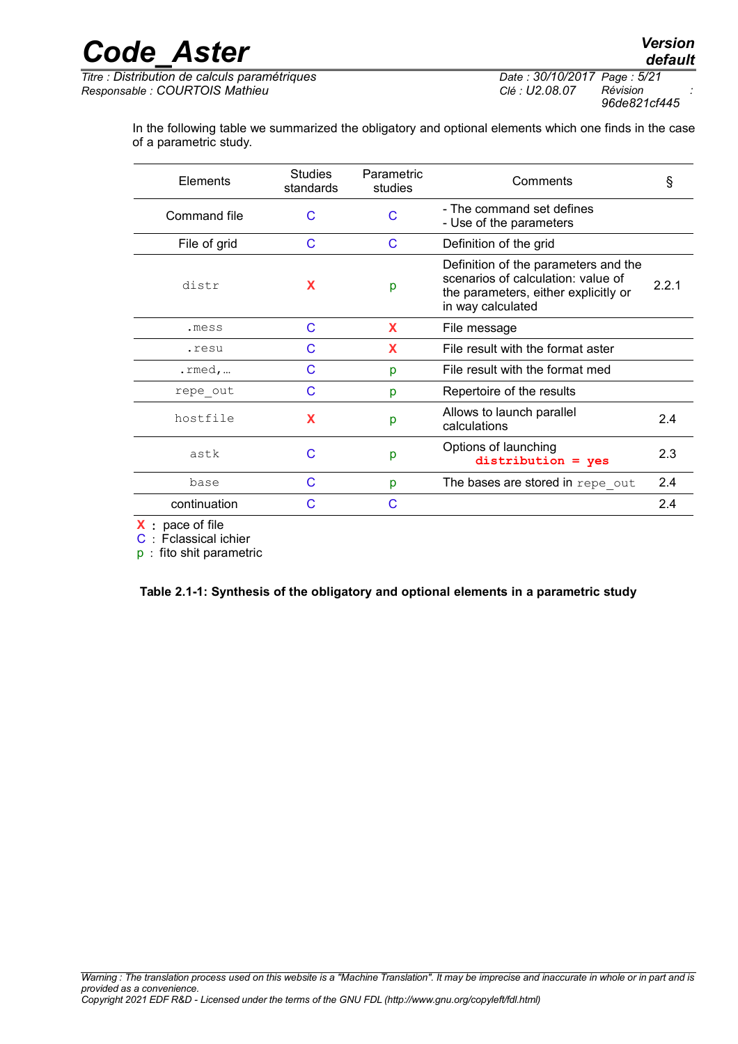*Code\_Aster Version Titre : Distribution de calculs paramétriques Date : 30/10/2017 Page : 5/21 Responsable : COURTOIS Mathieu Clé : U2.08.07 Révision :*

*96de821cf445*

In the following table we summarized the obligatory and optional elements which one finds in the case of a parametric study.

| Elements     | <b>Studies</b><br>standards | Parametric<br>studies | Comments                                                                                                                                | §     |
|--------------|-----------------------------|-----------------------|-----------------------------------------------------------------------------------------------------------------------------------------|-------|
| Command file | C                           | C                     | - The command set defines<br>- Use of the parameters                                                                                    |       |
| File of grid | С                           | C                     | Definition of the grid                                                                                                                  |       |
| distr        | x                           | р                     | Definition of the parameters and the<br>scenarios of calculation: value of<br>the parameters, either explicitly or<br>in way calculated | 2.2.1 |
| .mess        | C                           | X                     | File message                                                                                                                            |       |
| .resu        | С                           | X                     | File result with the format aster                                                                                                       |       |
| .png         | С                           | p                     | File result with the format med                                                                                                         |       |
| repe out     | C                           | p                     | Repertoire of the results                                                                                                               |       |
| hostfile     | X                           | р                     | Allows to launch parallel<br>calculations                                                                                               | 2.4   |
| astk         | C                           | р                     | Options of launching<br>$distriolution = yes$                                                                                           | 2.3   |
| base         | C                           | p                     | The bases are stored in repe out                                                                                                        | 2.4   |
| continuation | C                           | C                     |                                                                                                                                         | 2.4   |

**X** : pace of file

C : Fclassical ichier

p : fito shit parametric

| Table 2.1-1: Synthesis of the obligatory and optional elements in a parametric study |  |  |
|--------------------------------------------------------------------------------------|--|--|
|--------------------------------------------------------------------------------------|--|--|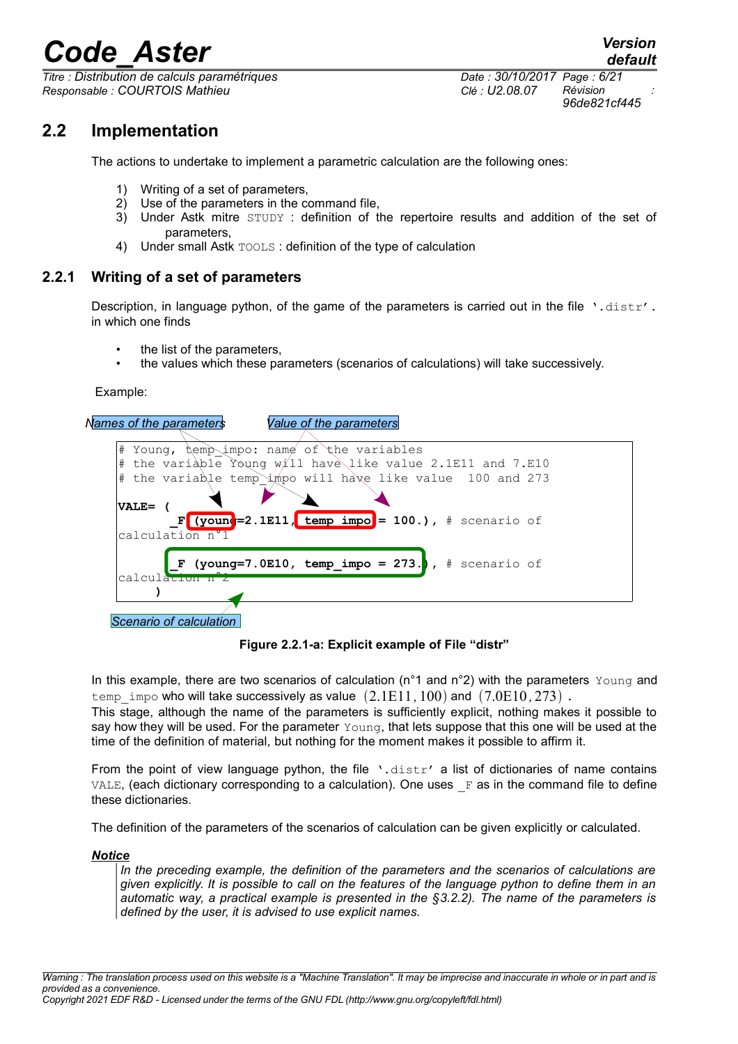*Titre : Distribution de calculs paramétriques Date : 30/10/2017 Page : 6/21 Responsable : COURTOIS Mathieu Clé : U2.08.07 Révision :*

### **2.2 Implementation**

<span id="page-5-1"></span>The actions to undertake to implement a parametric calculation are the following ones:

- 1) Writing of a set of parameters,
- 2) Use of the parameters in the command file,
- 3) Under Astk mitre STUDY : definition of the repertoire results and addition of the set of parameters,
- 4) Under small Astk TOOLS : definition of the type of calculation

#### **2.2.1 Writing of a set of parameters**

<span id="page-5-0"></span>Description, in language python, of the game of the parameters is carried out in the file  $\cdot$ . distr'. in which one finds

- the list of the parameters,
- the values which these parameters (scenarios of calculations) will take successively.

Example:

| Names of the parameters<br>Value of the parameters             |
|----------------------------------------------------------------|
|                                                                |
| # Young, <i>temp</i> impo: name of the variables               |
| # the variable Young will have like value 2.1E11 and 7.E10     |
| # the variable temp impo will have like value 100 and 273      |
|                                                                |
| <b>VALE= (</b>                                                 |
| $\mathbf{F}$ (yound = 2.1E11, temp impo = 100.), # scenario of |
| calculation n°1                                                |
|                                                                |
| $_F$ (young=7.0E10, temp_impo = 273.), # scenario of           |
| calculation                                                    |
|                                                                |
|                                                                |
|                                                                |

*Scenario of calculation*

**Figure 2.2.1-а: Explicit example of File "distr"**

In this example, there are two scenarios of calculation (n°1 and n°2) with the parameters Young and temp impo who will take successively as value  $(2.1E11, 100)$  and  $(7.0E10, 273)$ .

This stage, although the name of the parameters is sufficiently explicit, nothing makes it possible to say how they will be used. For the parameter  $Younq$ , that lets suppose that this one will be used at the time of the definition of material, but nothing for the moment makes it possible to affirm it.

From the point of view language python, the file  $\cdot$ . distr' a list of dictionaries of name contains VALE, (each dictionary corresponding to a calculation). One uses F as in the command file to define these dictionaries.

The definition of the parameters of the scenarios of calculation can be given explicitly or calculated.

#### *Notice*

*In the preceding example, the definition of the parameters and the scenarios of calculations are given explicitly. It is possible to call on the features of the language python to define them in an automatic way, a practical example is presented in the [§3.2.2\)](#page-18-1). The name of the parameters is defined by the user, it is advised to use explicit names.*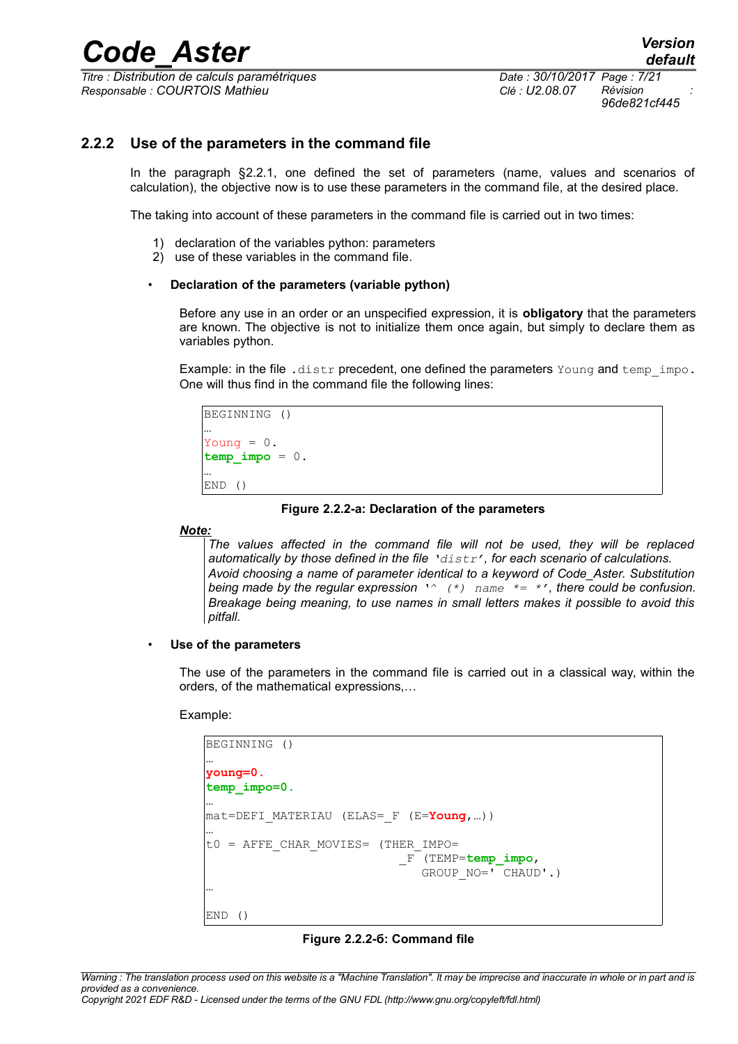*Titre : Distribution de calculs paramétriques Date : 30/10/2017 Page : 7/21 Responsable : COURTOIS Mathieu Clé : U2.08.07 Révision :*

*96de821cf445*

#### **2.2.2 Use of the parameters in the command file**

<span id="page-6-0"></span>In the paragraph [§2.2.1,](#page-5-0) one defined the set of parameters (name, values and scenarios of calculation), the objective now is to use these parameters in the command file, at the desired place.

The taking into account of these parameters in the command file is carried out in two times:

- 1) declaration of the variables python: parameters
- 2) use of these variables in the command file.

#### • **Declaration of the parameters (variable python)**

Before any use in an order or an unspecified expression, it is **obligatory** that the parameters are known. The objective is not to initialize them once again, but simply to declare them as variables python.

Example: in the file .distr precedent, one defined the parameters Young and temp impo. One will thus find in the command file the following lines:

```
BEGINNING () 
…
Young = 0.
temp impo = 0.
…
END ()
```
#### **Figure 2.2.2-а: Declaration of the parameters**

#### *Note:*

*The values affected in the command file will not be used, they will be replaced automatically by those defined in the file 'distr', for each scenario of calculations. Avoid choosing a name of parameter identical to a keyword of Code\_Aster. Substitution being made by the regular expression '^ (\*) name \*= \*', there could be confusion. Breakage being meaning, to use names in small letters makes it possible to avoid this pitfall.*

#### • **Use of the parameters**

The use of the parameters in the command file is carried out in a classical way, within the orders, of the mathematical expressions,…

#### Example:

| BEGINNING ()                                                                                         |
|------------------------------------------------------------------------------------------------------|
| $\cdots$<br>$ $ young=0.<br>temp impo=0.                                                             |
| $\cdots$<br> mat=DEFI MATERIAU (ELAS= F (E= <b>Young,</b> ))                                         |
| $\cdots$<br> t0 = AFFE CHAR MOVIES= (THER IMPO=<br>F (TEMP= <b>temp impo,</b><br>GROUP NO=' CHAUD'.) |
| $\cdots$                                                                                             |
| IEND<br>( )                                                                                          |

#### **Figure 2.2.2-б: Command file**

*Warning : The translation process used on this website is a "Machine Translation". It may be imprecise and inaccurate in whole or in part and is provided as a convenience. Copyright 2021 EDF R&D - Licensed under the terms of the GNU FDL (http://www.gnu.org/copyleft/fdl.html)*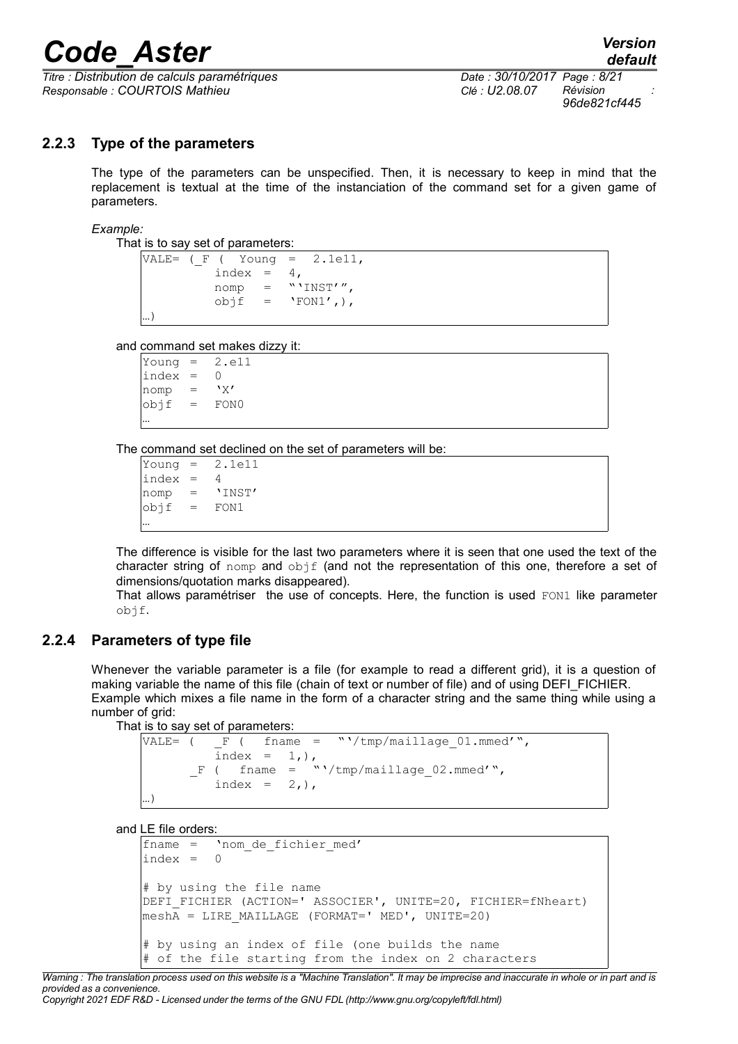*Titre : Distribution de calculs paramétriques Date : 30/10/2017 Page : 8/21 Responsable : COURTOIS Mathieu Clé : U2.08.07 Révision :*

*96de821cf445*

#### **2.2.3 Type of the parameters**

<span id="page-7-1"></span>The type of the parameters can be unspecified. Then, it is necessary to keep in mind that the replacement is textual at the time of the instanciation of the command set for a given game of parameters.

*Example:*

That is to say set of parameters:

 $\text{VALE} = (F ( \text{Young} = 2.1e11,$ index =  $4$ ,  $nomp = "'INST'$  $objf = 'FON1',),$ …)

and command set makes dizzy it:

Young  $= 2. e11$  $index = 0$  $nomp = 'X'$  $objf = FON0$ …

The command set declined on the set of parameters will be:

```
Young = 2.1e11index = 4nomp = 'INST'objf = FON1…
```
The difference is visible for the last two parameters where it is seen that one used the text of the character string of nomp and  $objf$  (and not the representation of this one, therefore a set of dimensions/quotation marks disappeared).

That allows paramétriser the use of concepts. Here, the function is used FON1 like parameter objf.

#### **2.2.4 Parameters of type file**

<span id="page-7-0"></span>Whenever the variable parameter is a file (for example to read a different grid), it is a question of making variable the name of this file (chain of text or number of file) and of using DEFI\_FICHIER. Example which mixes a file name in the form of a character string and the same thing while using a number of grid:

That is to say set of parameters:

```
VALE= (F - F) fname = "'/tmp/maillage 01.mmed'",
         index = 1,),
      F ( fname = "'/tmp/maillage 02.mmed'",
         index = 2,),
…)
```
and LE file orders:

```
fname = 'nom de fichier med'
index = 0# by using the file name
DEFI_FICHIER (ACTION=' ASSOCIER', UNITE=20, FICHIER=fNheart)
\overline{\text{meshA}} = LIRE MAILLAGE (FORMAT=' MED', UNITE=20)
# by using an index of file (one builds the name
# of the file starting from the index on 2 characters
```
*Warning : The translation process used on this website is a "Machine Translation". It may be imprecise and inaccurate in whole or in part and is provided as a convenience.*

*Copyright 2021 EDF R&D - Licensed under the terms of the GNU FDL (http://www.gnu.org/copyleft/fdl.html)*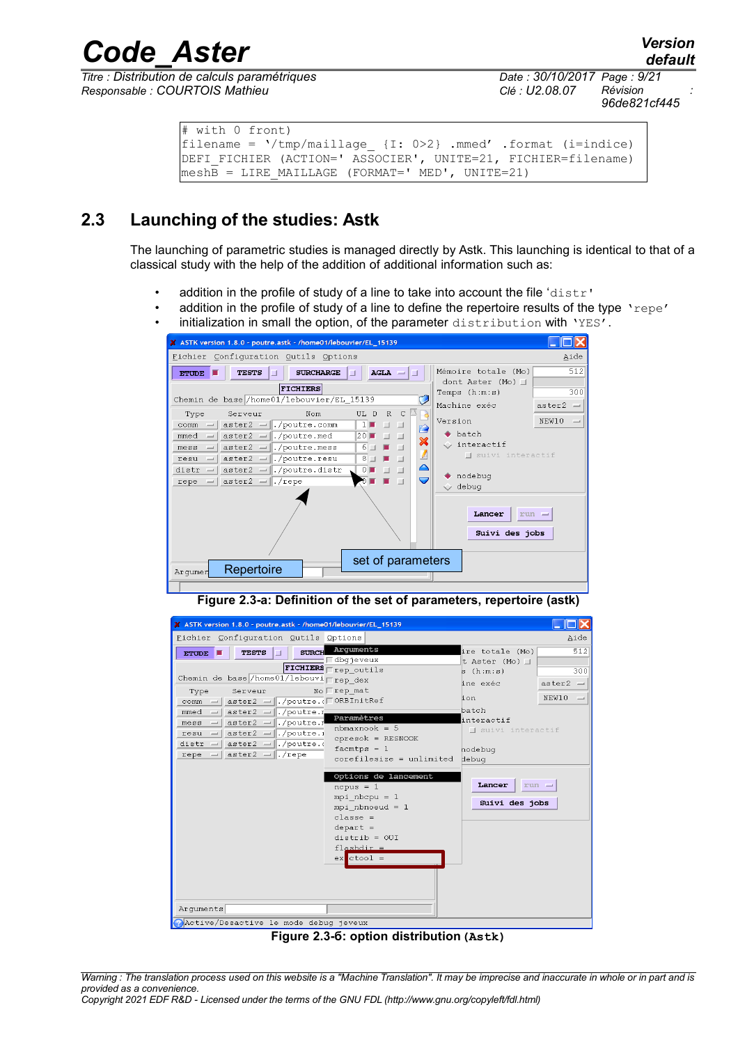*Titre : Distribution de calculs paramétriques Date : 30/10/2017 Page : 9/21 Responsable : COURTOIS Mathieu Clé : U2.08.07 Révision :*

*96de821cf445*

```
# with 0 front)
filename = '/tmp/maillage_ {I: 0>2} .mmed' .format (i=indice)
DEFI FICHIER (ACTION=' ASSOCIER', UNITE=21, FICHIER=filename)
\overline{\text{meshB}} = LIRE MAILLAGE (FORMAT=' MED', UNITE=21)
```
### **2.3 Launching of the studies: Astk**

<span id="page-8-0"></span>The launching of parametric studies is managed directly by Astk. This launching is identical to that of a classical study with the help of the addition of additional information such as:

- addition in the profile of study of a line to take into account the file 'distr'
- addition in the profile of study of a line to define the repertoire results of the type  $'$ repe'
- initialization in small the option, of the parameter distribution with 'YES'.



**Figure 2.3-а: Definition of the set of parameters, repertoire (astk)**

| X ASTK version 1.8.0 - poutre.astk - /home01/lebouvier/EL_15139                    |                            |                  |                                    |
|------------------------------------------------------------------------------------|----------------------------|------------------|------------------------------------|
| Fichier Configuration Outils Options                                               |                            |                  | Aide                               |
| <b>SURCH</b><br><b>TESTS</b><br><b>ETUDE</b> F                                     | Arquments                  | ire totale (Mo)  | 512                                |
| <b>FICHIERS</b>                                                                    | dbgjeveux                  | t Aster (Mo) □   |                                    |
| Chemin de base/home01/lebouvi                                                      | rep outils                 | s (h:m:s)        | 300                                |
|                                                                                    | rep dex                    | ine exéc         | aster2<br>$\overline{\phantom{a}}$ |
| Type<br>Serveur                                                                    | No □rep mat                | lion.            | NEW10<br>$\qquad \qquad =$         |
| $\text{aster2} = \sqrt{./\text{pouter}.\sqrt{}}$<br>comm<br>$=$ $\overline{ }$     | ORBInitRef                 |                  |                                    |
| $\text{aster2} = \sqrt{2}$ . /poutre.r<br>mmed<br>$\overline{\phantom{0}}$         | Paramètres                 | batch.           |                                    |
| $\texttt{aster2} = \parallel .\text{/pouter}.$<br>mess<br>$\overline{\phantom{a}}$ | $n$ bmaxnook = 5           | interactif       |                                    |
| $\text{aster2} = \parallel .\text{/pouter}.$<br>resu                               | $c$ presok = RESNOOK       | suivi interactif |                                    |
| distr<br>$\text{aster2} = \parallel .\text{/pouter}.$<br>$\overline{\phantom{a}}$  | $facmbs = 1$               | hodebug          |                                    |
| $\text{aster2} = \parallel . / \text{repe}$<br>repe<br>$\equiv$                    | $corefilesize = unlimited$ | debua            |                                    |
|                                                                                    |                            |                  |                                    |
|                                                                                    | Options de lancement       |                  |                                    |
|                                                                                    | $ncpus = 1$                | Lancer           | $run =$                            |
|                                                                                    | $mpi$ nbcpu = 1            |                  |                                    |
|                                                                                    | $mpi$ nbnoeud = 1          | Suivi des jobs   |                                    |
|                                                                                    | $classe =$                 |                  |                                    |
|                                                                                    | $depart =$                 |                  |                                    |
|                                                                                    | $distrib = OUT$            |                  |                                    |
|                                                                                    | $flashdir =$               |                  |                                    |
|                                                                                    | $ex$ ctool =               |                  |                                    |
|                                                                                    |                            |                  |                                    |
|                                                                                    |                            |                  |                                    |
|                                                                                    |                            |                  |                                    |
|                                                                                    |                            |                  |                                    |
| Arquments                                                                          |                            |                  |                                    |
| Active/Desactive le mode debug jeveux                                              |                            |                  |                                    |

**Figure 2.3-б: option distribution(Astk)**

*Warning : The translation process used on this website is a "Machine Translation". It may be imprecise and inaccurate in whole or in part and is provided as a convenience. Copyright 2021 EDF R&D - Licensed under the terms of the GNU FDL (http://www.gnu.org/copyleft/fdl.html)*

*Code\_Aster Version default*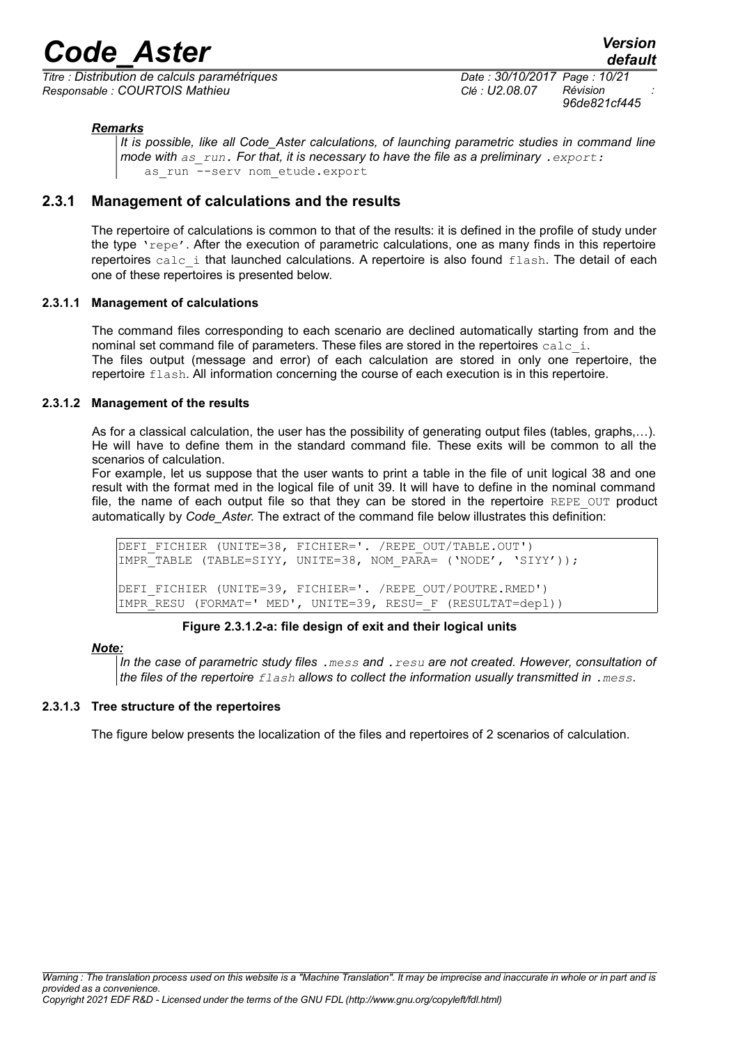*Titre : Distribution de calculs paramétriques Date : 30/10/2017 Page : 10/21 Responsable : COURTOIS Mathieu Clé : U2.08.07 Révision :*

*96de821cf445*

#### *Remarks*

*It is possible, like all Code\_Aster calculations, of launching parametric studies in command line mode with as\_run. For that, it is necessary to have the file as a preliminary .export:* as run --serv nom etude.export

#### **2.3.1 Management of calculations and the results**

<span id="page-9-0"></span>The repertoire of calculations is common to that of the results: it is defined in the profile of study under the type 'repe'. After the execution of parametric calculations, one as many finds in this repertoire repertoires calc i that launched calculations. A repertoire is also found flash. The detail of each one of these repertoires is presented below.

#### **2.3.1.1 Management of calculations**

The command files corresponding to each scenario are declined automatically starting from and the nominal set command file of parameters. These files are stored in the repertoires  $\text{calci}.$ The files output (message and error) of each calculation are stored in only one repertoire, the repertoire flash. All information concerning the course of each execution is in this repertoire.

#### **2.3.1.2 Management of the results**

As for a classical calculation, the user has the possibility of generating output files (tables, graphs,…). He will have to define them in the standard command file. These exits will be common to all the scenarios of calculation.

For example, let us suppose that the user wants to print a table in the file of unit logical 38 and one result with the format med in the logical file of unit 39. It will have to define in the nominal command file, the name of each output file so that they can be stored in the repertoire REPE OUT product automatically by *Code\_Aster.* The extract of the command file below illustrates this definition:

DEFI\_FICHIER (UNITE=38, FICHIER='. /REPE\_OUT/TABLE.OUT') IMPR\_TABLE (TABLE=SIYY, UNITE=38, NOM\_PARA= ('NODE', 'SIYY')); DEFI\_FICHIER (UNITE=39, FICHIER='. /REPE\_OUT/POUTRE.RMED') IMPR\_RESU (FORMAT=' MED', UNITE=39, RESU=\_F (RESULTAT=depl))

#### **Figure 2.3.1.2-а: file design of exit and their logical units**

#### *Note:*

*In the case of parametric study files .mess and .resu are not created. However, consultation of the files of the repertoire flash allows to collect the information usually transmitted in .mess*.

#### **2.3.1.3 Tree structure of the repertoires**

The figure below presents the localization of the files and repertoires of 2 scenarios of calculation.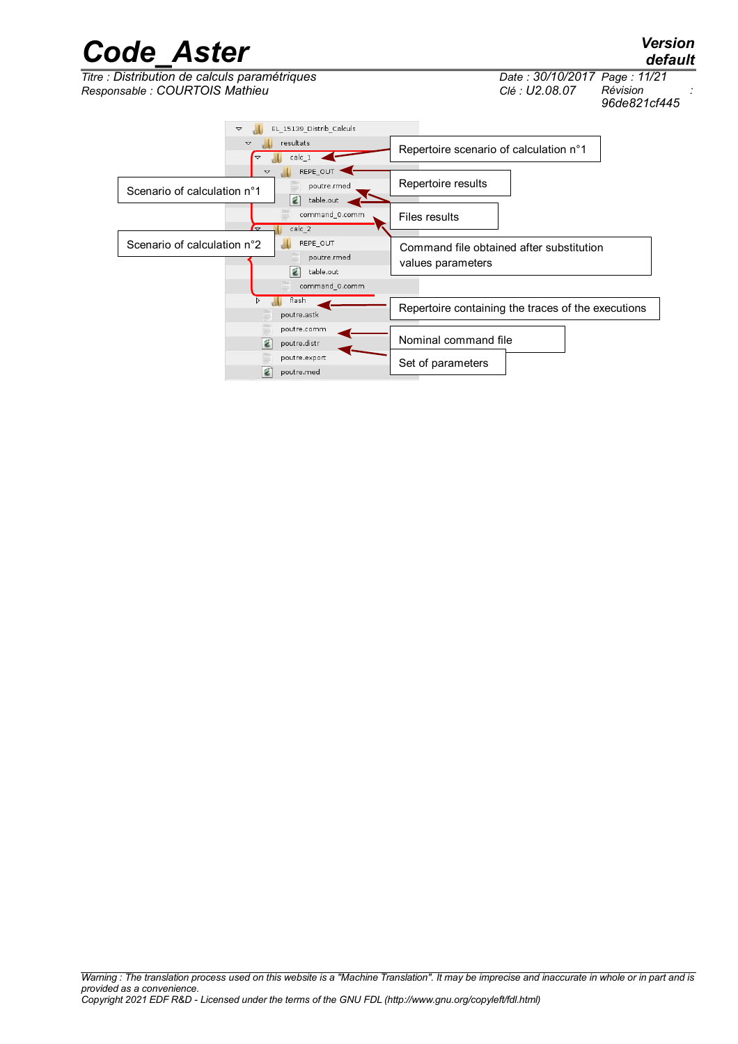$\overline{T}$ itre : Distribution de calculs paramétriques *Responsable : COURTOIS Mathieu Clé : U2.08.07 Révision :*

*96de821cf445*



*default*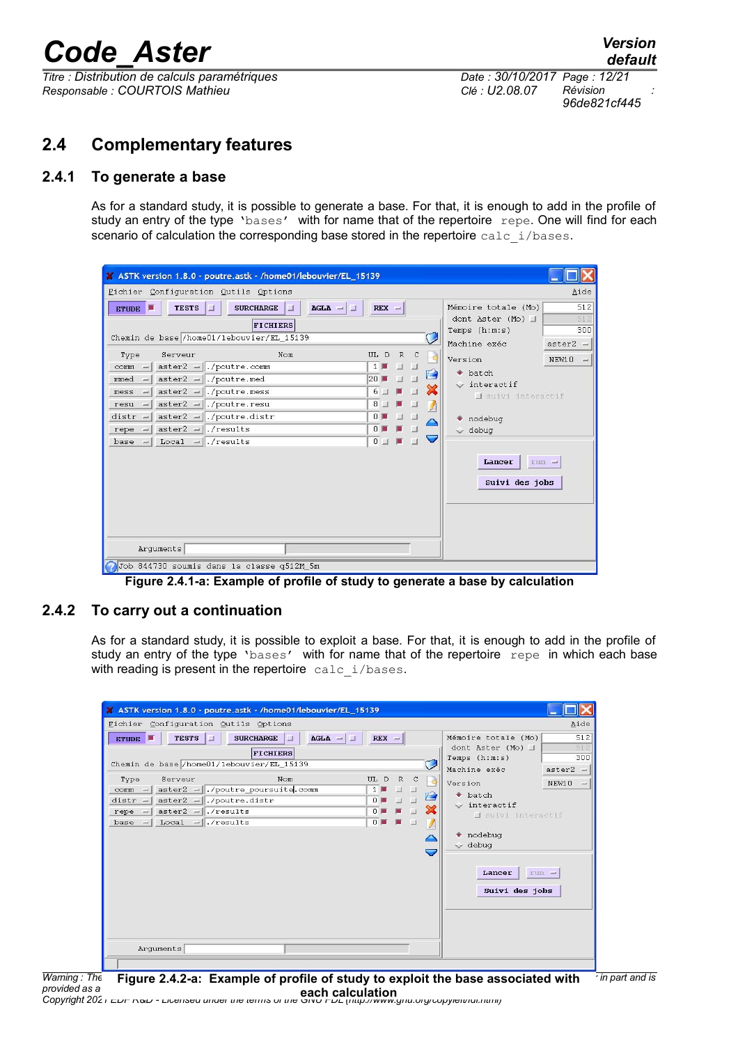$\overline{T}$ itre : Distribution de calculs paramétriques *Responsable : COURTOIS Mathieu Clé : U2.08.07 Révision :*

### <span id="page-11-2"></span>**2.4 Complementary features**

#### **2.4.1 To generate a base**

<span id="page-11-1"></span>As for a standard study, it is possible to generate a base. For that, it is enough to add in the profile of study an entry of the type 'bases' with for name that of the repertoire repe. One will find for each scenario of calculation the corresponding base stored in the repertoire calc i/bases.

| ASTK version 1.8.0 - poutre.astk - /home01/lebouvier/EL_15139                                                                                                                                                                                                                                                                                                                                                      |                                                                                                                 |                                                                                                                                  |                                 |
|--------------------------------------------------------------------------------------------------------------------------------------------------------------------------------------------------------------------------------------------------------------------------------------------------------------------------------------------------------------------------------------------------------------------|-----------------------------------------------------------------------------------------------------------------|----------------------------------------------------------------------------------------------------------------------------------|---------------------------------|
| Fichier Configuration Qutils Options                                                                                                                                                                                                                                                                                                                                                                               |                                                                                                                 |                                                                                                                                  | Aide                            |
| <b>TESTS</b><br><b>SURCHARGE</b><br>$AGLA$ -<br><b>ETUDE</b><br>LШ<br>肩<br><b>FICHIERS</b><br>Chemin de base /home01/lebouvier/EL 15139                                                                                                                                                                                                                                                                            | $REX -$                                                                                                         | Mémoire totale (Mo)<br>dont Aster (Mo) $\Box$<br>Temps (h:m:s)<br>Machine exéc                                                   | 512<br>512<br>300<br>$aster2 =$ |
| Serveur<br>Nom<br>Type<br>$\text{aster2} = \ \cdot\ $ ./poutre.comm<br>comm<br><b>Count</b><br>./poutre.med<br>$aster2 =$<br>mmed<br>$_{\rm med}$<br>./poutre.mess<br>$aster2 =$<br>mess<br><b>Canada</b><br>$aster2 =$<br>./poutre.resu<br>$resu =$<br>./poutre.distr<br>$aster2 =$<br>$distr =$<br>./results<br>aster2<br>repe<br>$_{\rm out}$<br>./results<br>Local<br>base<br>$_{\rm mod}$<br>$-$<br>Arguments | UL D<br>R<br>C<br>1 圖<br>B<br>20<br>6 <sub>1</sub><br>8<br>$0$ D<br>0<br>$\overline{\phantom{a}}$<br>$0$ $\Box$ | Version<br>$\bullet$ batch<br>$\sim$ interactif<br>I suivi interactif<br>nodebug<br>$\sqrt{ }$ debug<br>Lancer<br>Suivi des jobs | NEW10<br>$\sim$<br>EUD -        |

**Figure 2.4.1-а: Example of profile of study to generate a base by calculation**

#### **2.4.2 To carry out a continuation**

<span id="page-11-0"></span>As for a standard study, it is possible to exploit a base. For that, it is enough to add in the profile of study an entry of the type 'bases' with for name that of the repertoire repe in which each base with reading is present in the repertoire  $\text{calc }i/\text{bases.}$ 

| Mémoire totale (Mo)<br><b>TESTS</b><br><b>SURCHARGE</b><br>$REX =$<br>$AGLA$ -<br>ETUDE <b>I</b><br><b>Julian</b><br>原<br>dont Aster (Mo) $\Box$<br><b>FICHIERS</b><br>Temps $(h:m:s)$<br>Chemin de base /home01/1ebouvier/EL 15139<br>Machine exéc<br>Serveur<br>UL D<br>$R$ $C$<br>Nom<br>Type<br>Version<br>NEW10<br>$\text{aster2} = \ .$ /poutre poursuite.comm<br>1 圖<br>$comm \t -$<br>$\bullet$ batch<br>$aster2 = \dots$ /poutre.distr<br>0 国<br>$distr =$<br>$\sqrt{\ }$ interactif<br>$aster2 =   .$ /results<br>0 国<br>$repe -$<br>I suivi interactif<br>Local $-$ ./results<br>0 画<br>$base =$<br>$\bullet$ nodebug<br>$\vee$ debug<br>Lancer<br>TURI - | Suivi des jobs | Fichier Configuration Qutils Options |  | Aide                            |
|----------------------------------------------------------------------------------------------------------------------------------------------------------------------------------------------------------------------------------------------------------------------------------------------------------------------------------------------------------------------------------------------------------------------------------------------------------------------------------------------------------------------------------------------------------------------------------------------------------------------------------------------------------------------|----------------|--------------------------------------|--|---------------------------------|
|                                                                                                                                                                                                                                                                                                                                                                                                                                                                                                                                                                                                                                                                      |                |                                      |  | 512<br>512<br>300<br>$aster2 =$ |

Warning: The Figure 2.4.2-a: Example of profile of study to exploit the base associated with Tin part and is *provided as a Copyright 2021 EDF R&D - Licensed under the terms of the GNU FDL (http://www.gnu.org/copyleft/fdl.html)* **each calculation**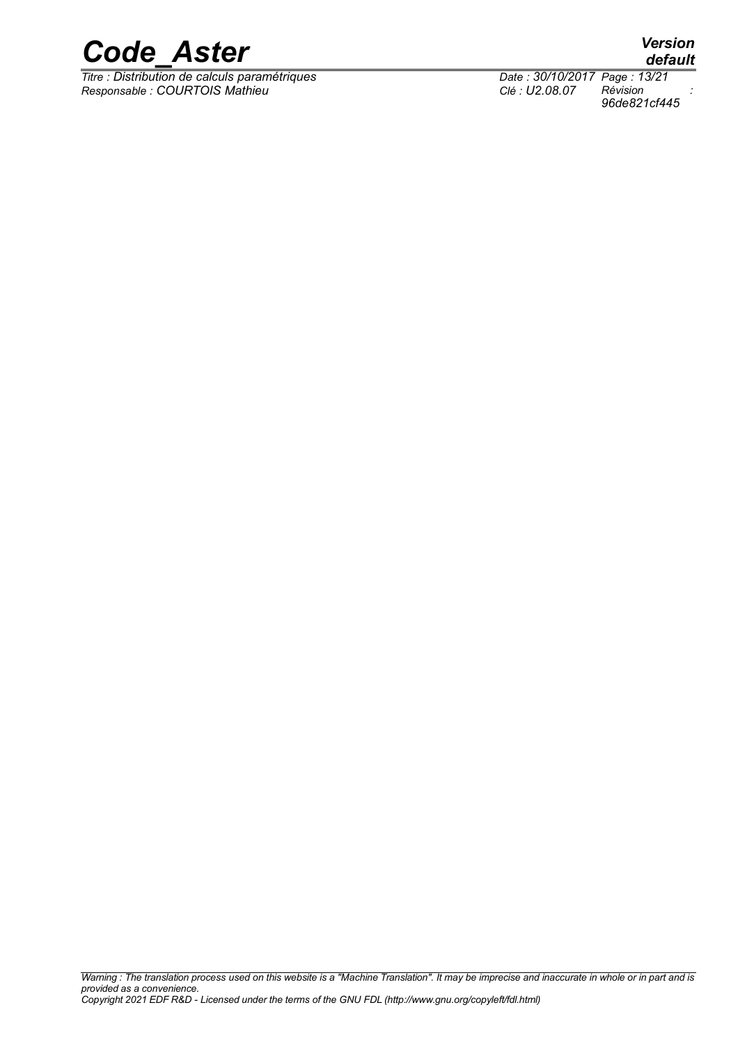

*Titre : Distribution de calculs paramétriques Date : 30/10/2017 Page : 13/21 Responsable : COURTOIS Mathieu Clé : U2.08.07 Révision :*

*default 96de821cf445*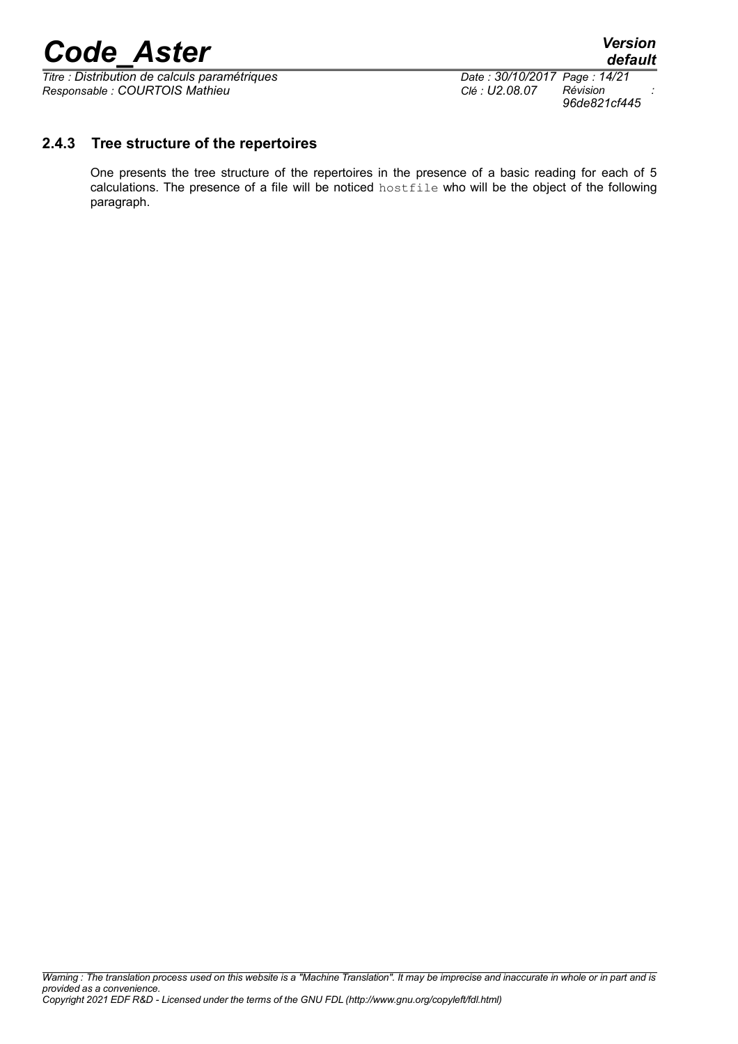*Titre : Distribution de calculs paramétriques Date : 30/10/2017 Page : 14/21 Responsable : COURTOIS Mathieu Clé : U2.08.07 Révision :*

*default 96de821cf445*

#### **2.4.3 Tree structure of the repertoires**

<span id="page-13-0"></span>One presents the tree structure of the repertoires in the presence of a basic reading for each of 5 calculations. The presence of a file will be noticed hostfile who will be the object of the following paragraph.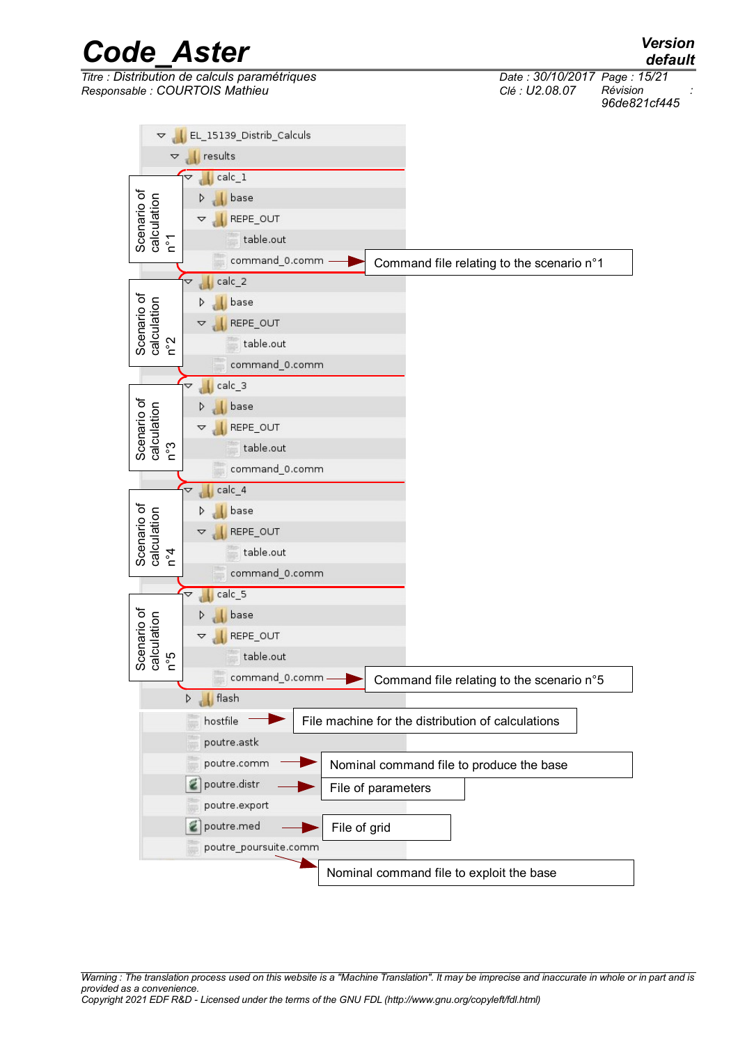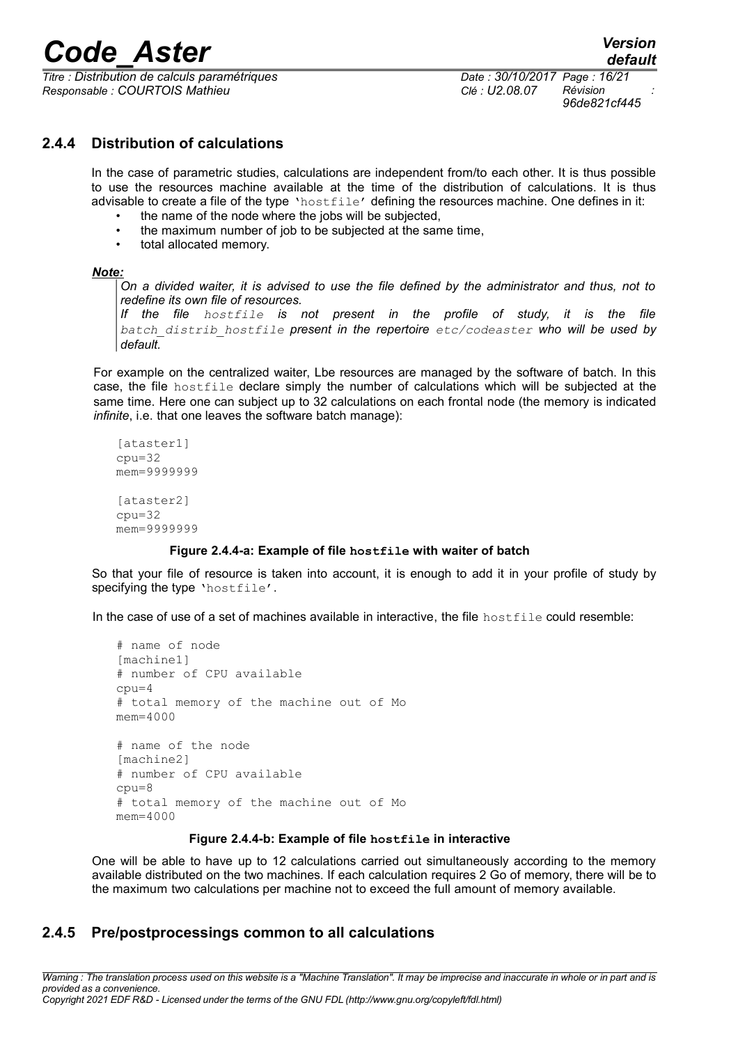*Titre : Distribution de calculs paramétriques Date : 30/10/2017 Page : 16/21 Responsable : COURTOIS Mathieu Clé : U2.08.07 Révision :*

*default 96de821cf445*

#### **2.4.4 Distribution of calculations**

<span id="page-15-1"></span>In the case of parametric studies, calculations are independent from/to each other. It is thus possible to use the resources machine available at the time of the distribution of calculations. It is thus advisable to create a file of the type 'hostfile' defining the resources machine. One defines in it:

- the name of the node where the jobs will be subjected.
- the maximum number of job to be subjected at the same time.
- total allocated memory.

#### *Note:*

*On a divided waiter, it is advised to use the file defined by the administrator and thus, not to redefine its own file of resources.*

*If the file hostfile is not present in the profile of study, it is the file batch\_distrib\_hostfile present in the repertoire etc/codeaster who will be used by default.*

For example on the centralized waiter, Lbe resources are managed by the software of batch. In this case, the file hostfile declare simply the number of calculations which will be subjected at the same time. Here one can subject up to 32 calculations on each frontal node (the memory is indicated *infinite*, i.e. that one leaves the software batch manage):

```
[ataster1] 
cpu=32 
mem=9999999 
[ataster2] 
cpu=32 
mem=9999999
```
#### **Figure 2.4.4-a: Example of file hostfile with waiter of batch**

So that your file of resource is taken into account, it is enough to add it in your profile of study by specifying the type 'hostfile'.

In the case of use of a set of machines available in interactive, the file hostfile could resemble:

```
# name of node
[machine1]
# number of CPU available
cvu=4# total memory of the machine out of Mo
mem=4000
# name of the node
[machine2]
# number of CPU available
cpu=8
# total memory of the machine out of Mo
mem=4000
```
#### **Figure 2.4.4-b: Example of file hostfile in interactive**

One will be able to have up to 12 calculations carried out simultaneously according to the memory available distributed on the two machines. If each calculation requires 2 Go of memory, there will be to the maximum two calculations per machine not to exceed the full amount of memory available.

#### <span id="page-15-0"></span>**2.4.5 Pre/postprocessings common to all calculations**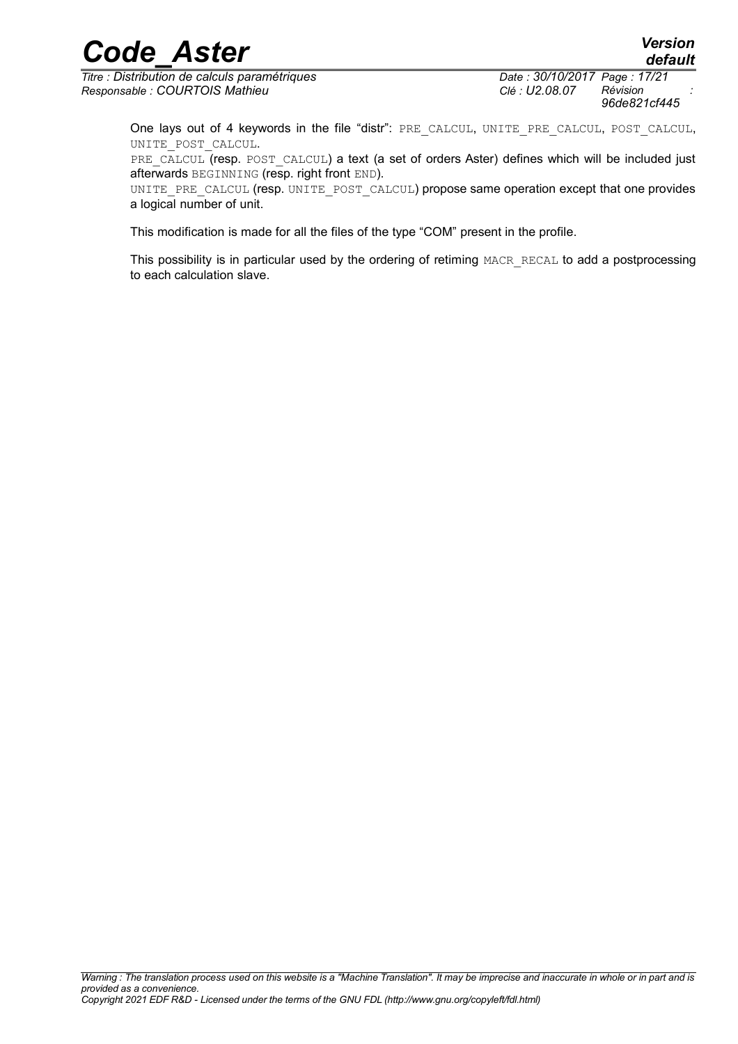$\overline{T}$ *Titre : Distribution de calculs paramétriques Responsable : COURTOIS Mathieu Clé : U2.08.07 Révision :*

*96de821cf445*

*default*

One lays out of 4 keywords in the file "distr": PRE CALCUL, UNITE PRE CALCUL, POST CALCUL, UNITE\_POST\_CALCUL.

PRE\_CALCUL (resp. POST\_CALCUL) a text (a set of orders Aster) defines which will be included just afterwards BEGINNING (resp. right front END).

UNITE PRE CALCUL (resp. UNITE POST CALCUL) propose same operation except that one provides a logical number of unit.

This modification is made for all the files of the type "COM" present in the profile.

This possibility is in particular used by the ordering of retiming MACR\_RECAL to add a postprocessing to each calculation slave.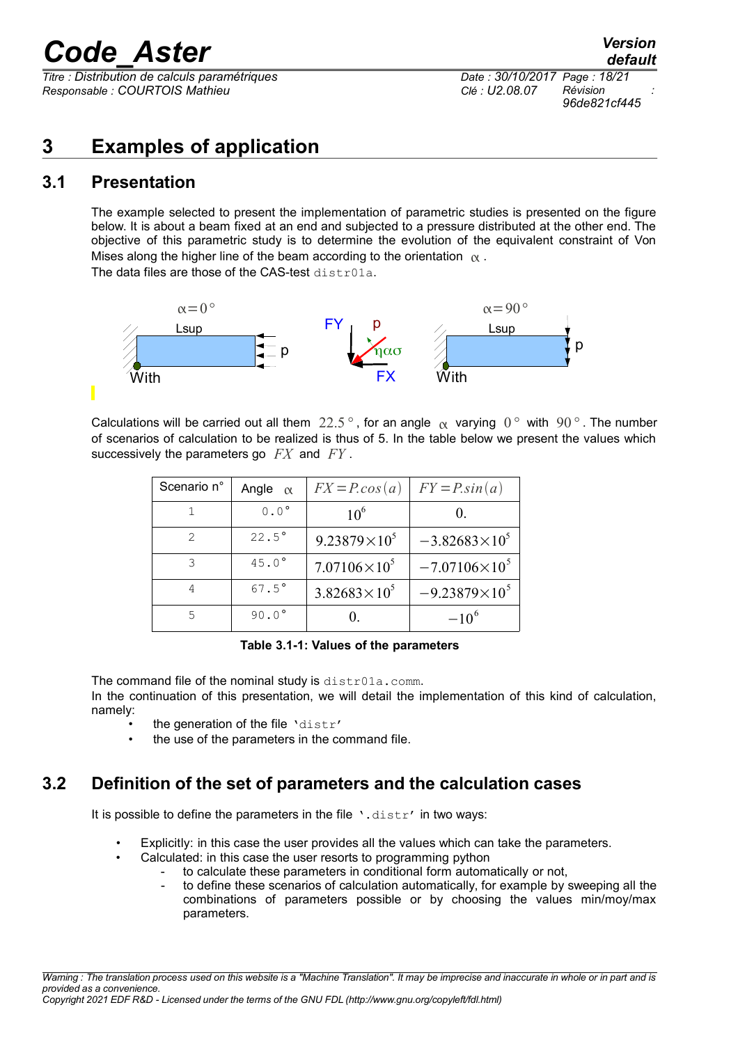*Titre : Distribution de calculs paramétriques Date : 30/10/2017 Page : 18/21 Responsable : COURTOIS Mathieu Clé : U2.08.07 Révision :*

*default 96de821cf445*

## <span id="page-17-2"></span>**3 Examples of application**

### **3.1 Presentation**

<span id="page-17-1"></span>The example selected to present the implementation of parametric studies is presented on the figure below. It is about a beam fixed at an end and subjected to a pressure distributed at the other end. The objective of this parametric study is to determine the evolution of the equivalent constraint of Von Mises along the higher line of the beam according to the orientation  $\alpha$ .

The data files are those of the CAS-test distr01a.



Calculations will be carried out all them  $22.5^{\circ}$ , for an angle  $\alpha$  varying  $0^{\circ}$  with  $90^{\circ}$ . The number of scenarios of calculation to be realized is thus of 5. In the table below we present the values which successively the parameters go *FX* and *FY* .

| Scenario n°   | Angle $\alpha$ | $FX = P \cdot cos(a)$ | $FY = P.\sin(a)$       |
|---------------|----------------|-----------------------|------------------------|
| 1             | $0.0^\circ$    | $10^{6}$              |                        |
| $\mathcal{L}$ | $22.5^\circ$   | $9.23879\times10^{5}$ | $-3.82683\times10^{5}$ |
| 3             | $45.0^{\circ}$ | $7.07106\times10^{5}$ | $-7.07106\times10^{5}$ |
| 4             | $67.5^{\circ}$ | $3.82683\times10^{5}$ | $-9.23879\times10^{5}$ |
| 5             | $90.0^\circ$   |                       | $-10^{6}$              |

**Table 3.1-1: Values of the parameters**

The command file of the nominal study is distr01a.comm. In the continuation of this presentation, we will detail the implementation of this kind of calculation, namely:

- the generation of the file 'distr'
- the use of the parameters in the command file.

### **3.2 Definition of the set of parameters and the calculation cases**

<span id="page-17-0"></span>It is possible to define the parameters in the file '.distr' in two ways:

- Explicitly: in this case the user provides all the values which can take the parameters.
	- Calculated: in this case the user resorts to programming python
		- to calculate these parameters in conditional form automatically or not,
		- to define these scenarios of calculation automatically, for example by sweeping all the combinations of parameters possible or by choosing the values min/moy/max parameters.

*Warning : The translation process used on this website is a "Machine Translation". It may be imprecise and inaccurate in whole or in part and is provided as a convenience. Copyright 2021 EDF R&D - Licensed under the terms of the GNU FDL (http://www.gnu.org/copyleft/fdl.html)*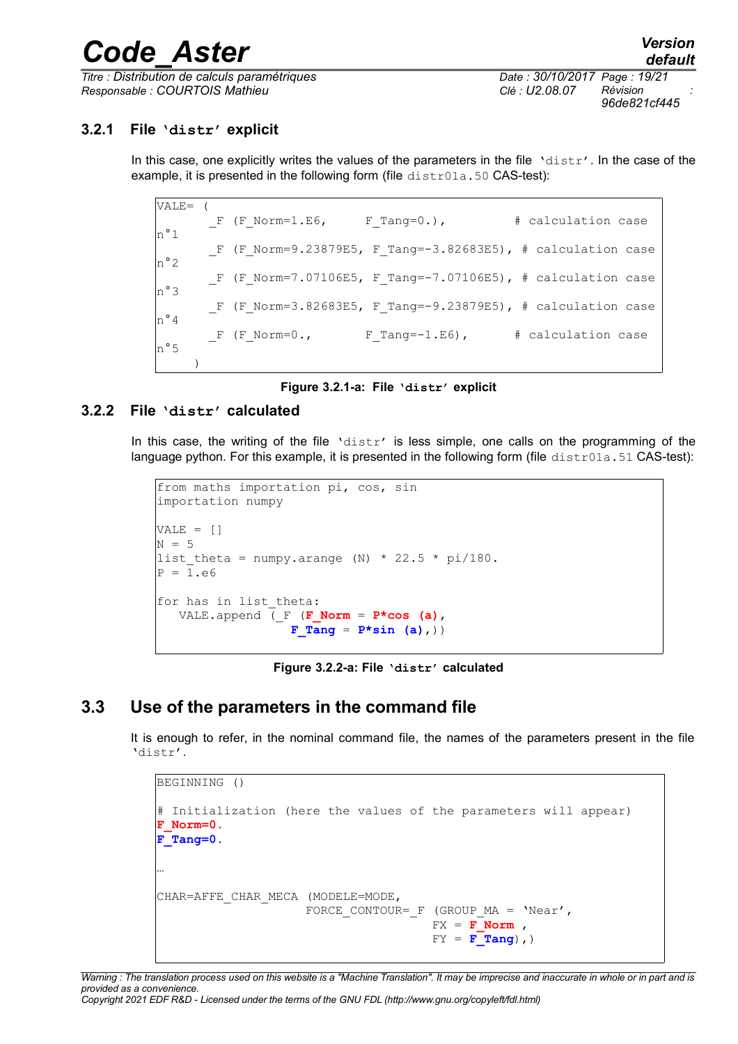*Titre : Distribution de calculs paramétriques Date : 30/10/2017 Page : 19/21 Responsable : COURTOIS Mathieu Clé : U2.08.07 Révision :*

#### **3.2.1 File 'distr' explicit**

<span id="page-18-2"></span>In this case, one explicitly writes the values of the parameters in the file  $\text{distr}'$ . In the case of the example, it is presented in the following form (file distr01a.50 CAS-test):

```
VALE= (
       F (F Norm=1.E6, F Tang=0.), \# calculation case
n°1
       F (F Norm=9.23879E5, F Tang=-3.82683E5), # calculation case
n°2
       F (F Norm=7.07106E5, F Tang=-7.07106E5), # calculation case
n°3
       F (F Norm=3.82683E5, F Tang=-9.23879E5), # calculation case
n°4
       F (F Norm=0., F Tang=-1.E6), \# calculation case
n°5
\overline{\phantom{a}}
```
**Figure 3.2.1-а: File 'distr' explicit**

#### **3.2.2 File 'distr' calculated**

<span id="page-18-1"></span>In this case, the writing of the file  $\text{distr}'$  is less simple, one calls on the programming of the language python. For this example, it is presented in the following form (file  $distr01a.51$  CAS-test):

```
from maths importation pi, cos, sin
importation numpy
VALE = []N = 5list theta = numpy.arange (N) * 22.5 * pi/180.
P = 1.e6for has in list theta:
    VALE.append (_F (F_Norm = P*cos (a),
                  F Tang = P*sin (a),))
```
**Figure 3.2.2-а: File 'distr' calculated**

### **3.3 Use of the parameters in the command file**

<span id="page-18-0"></span>It is enough to refer, in the nominal command file, the names of the parameters present in the file 'distr'.

```
BEGINNING ()
# Initialization (here the values of the parameters will appear)
F_Norm=0.
F_Tang=0.
…
CHAR=AFFE_CHAR_MECA (MODELE=MODE,
                     FORCE CONTOUR= F (GROUP MA = 'Near',
                                      FX = F Norm ,
                                      FY = F Trang),
```
*Warning : The translation process used on this website is a "Machine Translation". It may be imprecise and inaccurate in whole or in part and is provided as a convenience.*

*Copyright 2021 EDF R&D - Licensed under the terms of the GNU FDL (http://www.gnu.org/copyleft/fdl.html)*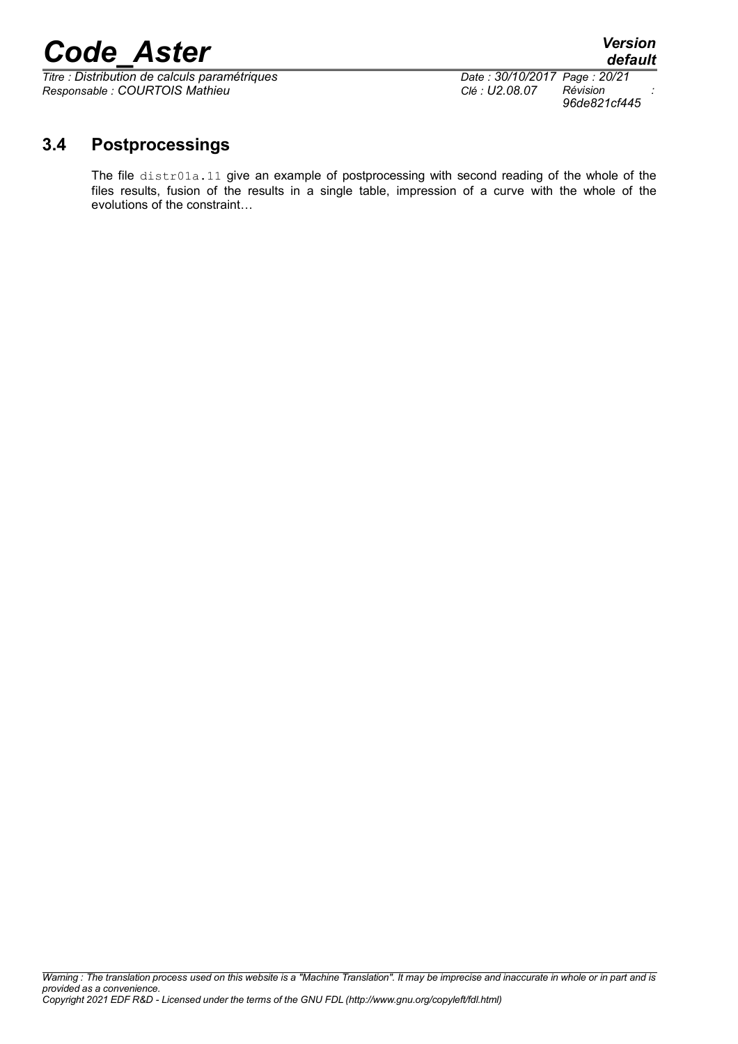*Titre : Distribution de calculs paramétriques Date : 30/10/2017 Page : 20/21 Responsable : COURTOIS Mathieu Clé : U2.08.07 Révision :*

*96de821cf445*

*default*

<span id="page-19-0"></span>The file distr01a.11 give an example of postprocessing with second reading of the whole of the files results, fusion of the results in a single table, impression of a curve with the whole of the evolutions of the constraint…